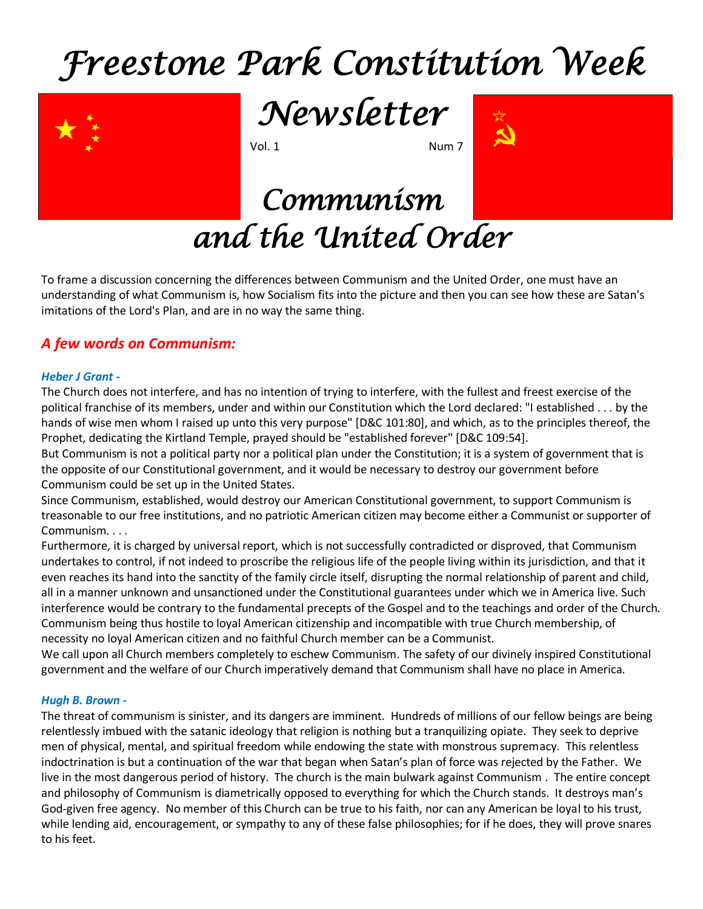# *Freestone Park Constitution Week*



*Newsletter* 

Vol. 1 Num 7





# *Communism and the United Order*

To frame a discussion concerning the differences between Communism and the United Order, one must have an understanding of what Communism is, how Socialism fits into the picture and then you can see how these are Satan's imitations of the Lord's Plan, and are in no way the same thing.

# *A few words on Communism:*

## *Heber J Grant -*

The Church does not interfere, and has no intention of trying to interfere, with the fullest and freest exercise of the political franchise of its members, under and within our Constitution which the Lord declared: "I established . . . by the hands of wise men whom I raised up unto this very purpose" [D&C 101:80], and which, as to the principles thereof, the Prophet, dedicating the Kirtland Temple, prayed should be "established forever" [D&C 109:54].

But Communism is not a political party nor a political plan under the Constitution; it is a system of government that is the opposite of our Constitutional government, and it would be necessary to destroy our government before Communism could be set up in the United States.

Since Communism, established, would destroy our American Constitutional government, to support Communism is treasonable to our free institutions, and no patriotic American citizen may become either a Communist or supporter of Communism. . . .

Furthermore, it is charged by universal report, which is not successfully contradicted or disproved, that Communism undertakes to control, if not indeed to proscribe the religious life of the people living within its jurisdiction, and that it even reaches its hand into the sanctity of the family circle itself, disrupting the normal relationship of parent and child, all in a manner unknown and unsanctioned under the Constitutional guarantees under which we in America live. Such interference would be contrary to the fundamental precepts of the Gospel and to the teachings and order of the Church. Communism being thus hostile to loyal American citizenship and incompatible with true Church membership, of necessity no loyal American citizen and no faithful Church member can be a Communist.

We call upon all Church members completely to eschew Communism. The safety of our divinely inspired Constitutional government and the welfare of our Church imperatively demand that Communism shall have no place in America.

## *Hugh B. Brown -*

The threat of communism is sinister, and its dangers are imminent. Hundreds of millions of our fellow beings are being relentlessly imbued with the satanic ideology that religion is nothing but a tranquilizing opiate. They seek to deprive men of physical, mental, and spiritual freedom while endowing the state with monstrous supremacy. This relentless indoctrination is but a continuation of the war that began when Satan's plan of force was rejected by the Father. We live in the most dangerous period of history. The church is the main bulwark against Communism . The entire concept and philosophy of Communism is diametrically opposed to everything for which the Church stands. It destroys man's God-given free agency. No member of this Church can be true to his faith, nor can any American be loyal to his trust, while lending aid, encouragement, or sympathy to any of these false philosophies; for if he does, they will prove snares to his feet.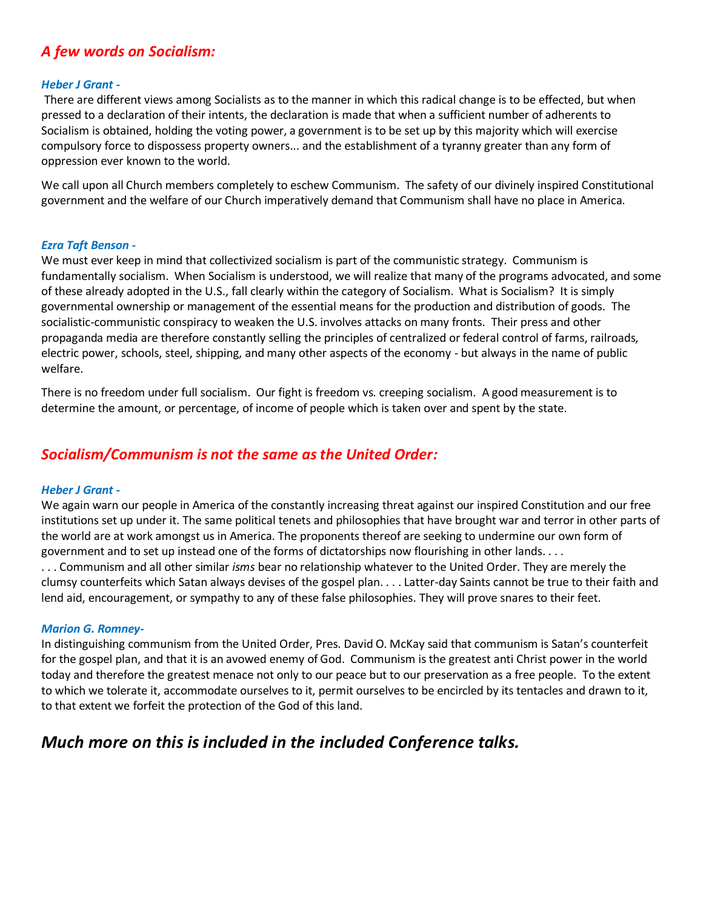# *A few words on Socialism:*

#### *Heber J Grant -*

There are different views among Socialists as to the manner in which this radical change is to be effected, but when pressed to a declaration of their intents, the declaration is made that when a sufficient number of adherents to Socialism is obtained, holding the voting power, a government is to be set up by this majority which will exercise compulsory force to dispossess property owners... and the establishment of a tyranny greater than any form of oppression ever known to the world.

We call upon all Church members completely to eschew Communism. The safety of our divinely inspired Constitutional government and the welfare of our Church imperatively demand that Communism shall have no place in America.

#### *Ezra Taft Benson -*

We must ever keep in mind that collectivized socialism is part of the communistic strategy. Communism is fundamentally socialism. When Socialism is understood, we will realize that many of the programs advocated, and some of these already adopted in the U.S., fall clearly within the category of Socialism. What is Socialism? It is simply governmental ownership or management of the essential means for the production and distribution of goods. The socialistic-communistic conspiracy to weaken the U.S. involves attacks on many fronts. Their press and other propaganda media are therefore constantly selling the principles of centralized or federal control of farms, railroads, electric power, schools, steel, shipping, and many other aspects of the economy - but always in the name of public welfare.

There is no freedom under full socialism. Our fight is freedom vs. creeping socialism. A good measurement is to determine the amount, or percentage, of income of people which is taken over and spent by the state.

# *Socialism/Communism is not the same as the United Order:*

#### *Heber J Grant -*

We again warn our people in America of the constantly increasing threat against our inspired Constitution and our free institutions set up under it. The same political tenets and philosophies that have brought war and terror in other parts of the world are at work amongst us in America. The proponents thereof are seeking to undermine our own form of government and to set up instead one of the forms of dictatorships now flourishing in other lands. . . .

. . . Communism and all other similar *isms* bear no relationship whatever to the United Order. They are merely the clumsy counterfeits which Satan always devises of the gospel plan. . . . Latter-day Saints cannot be true to their faith and lend aid, encouragement, or sympathy to any of these false philosophies. They will prove snares to their feet.

#### *Marion G. Romney-*

In distinguishing communism from the United Order, Pres. David O. McKay said that communism is Satan's counterfeit for the gospel plan, and that it is an avowed enemy of God. Communism is the greatest anti Christ power in the world today and therefore the greatest menace not only to our peace but to our preservation as a free people. To the extent to which we tolerate it, accommodate ourselves to it, permit ourselves to be encircled by its tentacles and drawn to it, to that extent we forfeit the protection of the God of this land.

# *Much more on this is included in the included Conference talks.*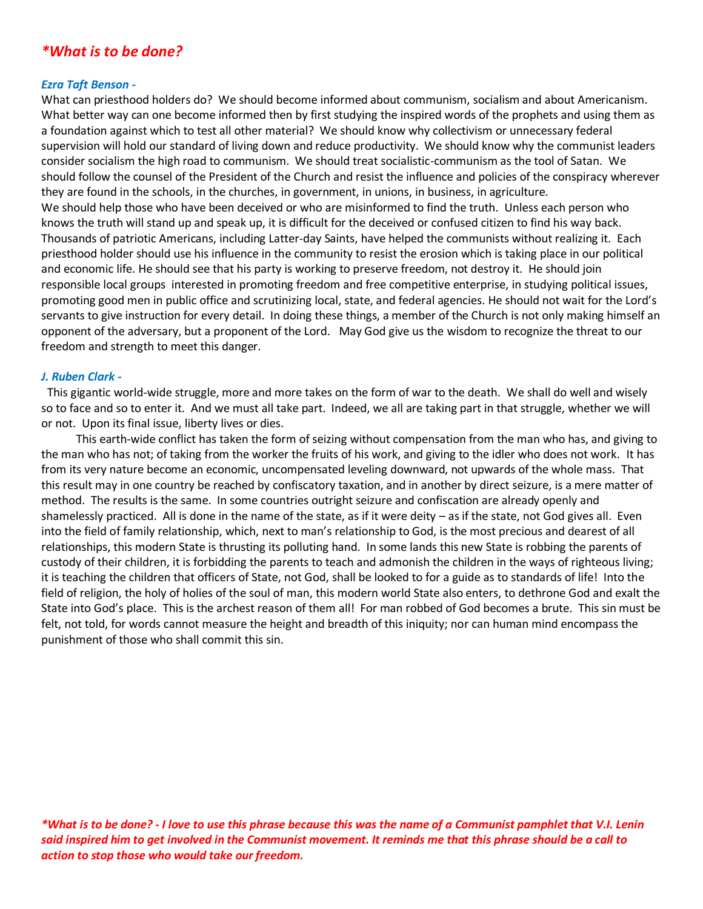# *\*What is to be done?*

#### *Ezra Taft Benson -*

What can priesthood holders do? We should become informed about communism, socialism and about Americanism. What better way can one become informed then by first studying the inspired words of the prophets and using them as a foundation against which to test all other material? We should know why collectivism or unnecessary federal supervision will hold our standard of living down and reduce productivity. We should know why the communist leaders consider socialism the high road to communism. We should treat socialistic-communism as the tool of Satan. We should follow the counsel of the President of the Church and resist the influence and policies of the conspiracy wherever they are found in the schools, in the churches, in government, in unions, in business, in agriculture. We should help those who have been deceived or who are misinformed to find the truth. Unless each person who knows the truth will stand up and speak up, it is difficult for the deceived or confused citizen to find his way back. Thousands of patriotic Americans, including Latter-day Saints, have helped the communists without realizing it. Each priesthood holder should use his influence in the community to resist the erosion which is taking place in our political and economic life. He should see that his party is working to preserve freedom, not destroy it. He should join responsible local groups interested in promoting freedom and free competitive enterprise, in studying political issues, promoting good men in public office and scrutinizing local, state, and federal agencies. He should not wait for the Lord's servants to give instruction for every detail. In doing these things, a member of the Church is not only making himself an opponent of the adversary, but a proponent of the Lord. May God give us the wisdom to recognize the threat to our freedom and strength to meet this danger.

#### *J. Ruben Clark -*

 This gigantic world-wide struggle, more and more takes on the form of war to the death. We shall do well and wisely so to face and so to enter it. And we must all take part. Indeed, we all are taking part in that struggle, whether we will or not. Upon its final issue, liberty lives or dies.

 This earth-wide conflict has taken the form of seizing without compensation from the man who has, and giving to the man who has not; of taking from the worker the fruits of his work, and giving to the idler who does not work. It has from its very nature become an economic, uncompensated leveling downward, not upwards of the whole mass. That this result may in one country be reached by confiscatory taxation, and in another by direct seizure, is a mere matter of method. The results is the same. In some countries outright seizure and confiscation are already openly and shamelessly practiced. All is done in the name of the state, as if it were deity – as if the state, not God gives all. Even into the field of family relationship, which, next to man's relationship to God, is the most precious and dearest of all relationships, this modern State is thrusting its polluting hand. In some lands this new State is robbing the parents of custody of their children, it is forbidding the parents to teach and admonish the children in the ways of righteous living; it is teaching the children that officers of State, not God, shall be looked to for a guide as to standards of life! Into the field of religion, the holy of holies of the soul of man, this modern world State also enters, to dethrone God and exalt the State into God's place. This is the archest reason of them all! For man robbed of God becomes a brute. This sin must be felt, not told, for words cannot measure the height and breadth of this iniquity; nor can human mind encompass the punishment of those who shall commit this sin.

*\*What is to be done? - I love to use this phrase because this was the name of a Communist pamphlet that V.I. Lenin said inspired him to get involved in the Communist movement. It reminds me that this phrase should be a call to action to stop those who would take our freedom.*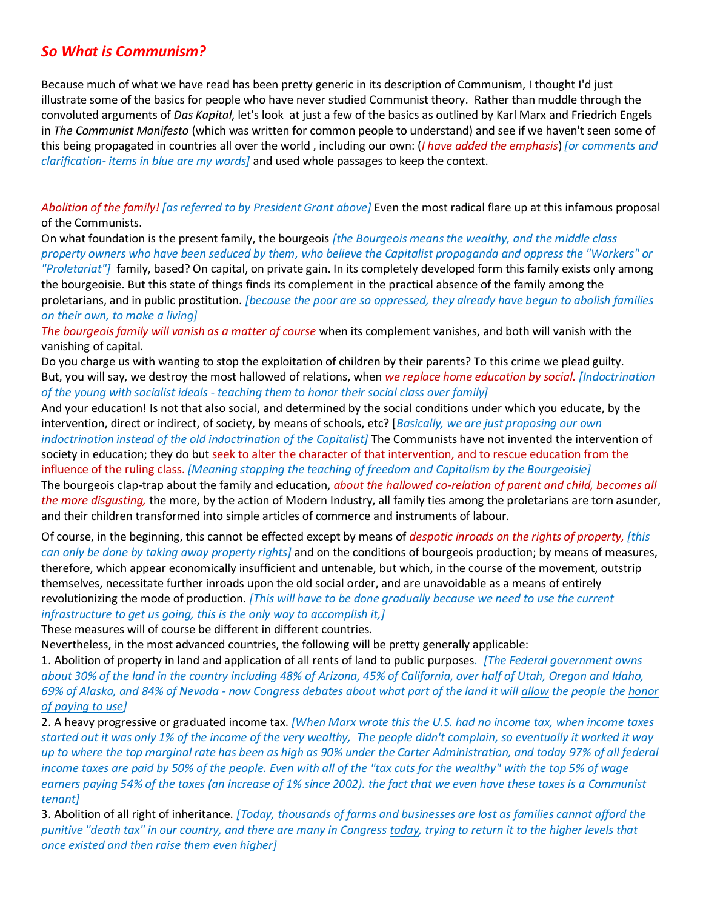# *So What is Communism?*

Because much of what we have read has been pretty generic in its description of Communism, I thought I'd just illustrate some of the basics for people who have never studied Communist theory. Rather than muddle through the convoluted arguments of *Das Kapital*, let's look at just a few of the basics as outlined by Karl Marx and Friedrich Engels in *The Communist Manifesto* (which was written for common people to understand) and see if we haven't seen some of this being propagated in countries all over the world , including our own: (*I have added the emphasis*) *[or comments and clarification- items in blue are my words]* and used whole passages to keep the context.

*Abolition of the family! [as referred to by President Grant above]* Even the most radical flare up at this infamous proposal of the Communists.

On what foundation is the present family, the bourgeois *[the Bourgeois means the wealthy, and the middle class property owners who have been seduced by them, who believe the Capitalist propaganda and oppress the "Workers" or "Proletariat"]* family, based? On capital, on private gain. In its completely developed form this family exists only among the bourgeoisie. But this state of things finds its complement in the practical absence of the family among the proletarians, and in public prostitution. *[because the poor are so oppressed, they already have begun to abolish families on their own, to make a living]*

*The bourgeois family will vanish as a matter of course* when its complement vanishes, and both will vanish with the vanishing of capital.

Do you charge us with wanting to stop the exploitation of children by their parents? To this crime we plead guilty. But, you will say, we destroy the most hallowed of relations, when *we replace home education by social. [Indoctrination of the young with socialist ideals - teaching them to honor their social class over family]*

And your education! Is not that also social, and determined by the social conditions under which you educate, by the intervention, direct or indirect, of society, by means of schools, etc? [*Basically, we are just proposing our own indoctrination instead of the old indoctrination of the Capitalist]* The Communists have not invented the intervention of society in education; they do but seek to alter the character of that intervention, and to rescue education from the influence of the ruling class. *[Meaning stopping the teaching of freedom and Capitalism by the Bourgeoisie]* The bourgeois clap-trap about the family and education, *about the hallowed co-relation of parent and child, becomes all the more disgusting,* the more, by the action of Modern Industry, all family ties among the proletarians are torn asunder, and their children transformed into simple articles of commerce and instruments of labour.

Of course, in the beginning, this cannot be effected except by means of *despotic inroads on the rights of property, [this can only be done by taking away property rights]* and on the conditions of bourgeois production; by means of measures, therefore, which appear economically insufficient and untenable, but which, in the course of the movement, outstrip themselves, necessitate further inroads upon the old social order, and are unavoidable as a means of entirely revolutionizing the mode of production. *[This will have to be done gradually because we need to use the current infrastructure to get us going, this is the only way to accomplish it,]*

These measures will of course be different in different countries.

Nevertheless, in the most advanced countries, the following will be pretty generally applicable:

1. Abolition of property in land and application of all rents of land to public purposes*. [The Federal government owns about 30% of the land in the country including 48% of Arizona, 45% of California, over half of Utah, Oregon and Idaho, 69% of Alaska, and 84% of Nevada - now Congress debates about what part of the land it will allow the people the honor of paying to use]*

2. A heavy progressive or graduated income tax. *[When Marx wrote this the U.S. had no income tax, when income taxes started out it was only 1% of the income of the very wealthy, The people didn't complain, so eventually it worked it way up to where the top marginal rate has been as high as 90% under the Carter Administration, and today 97% of all federal income taxes are paid by 50% of the people. Even with all of the "tax cuts for the wealthy" with the top 5% of wage earners paying 54% of the taxes (an increase of 1% since 2002). the fact that we even have these taxes is a Communist tenant]*

3. Abolition of all right of inheritance. *[Today, thousands of farms and businesses are lost as families cannot afford the punitive "death tax" in our country, and there are many in Congress today, trying to return it to the higher levels that once existed and then raise them even higher]*